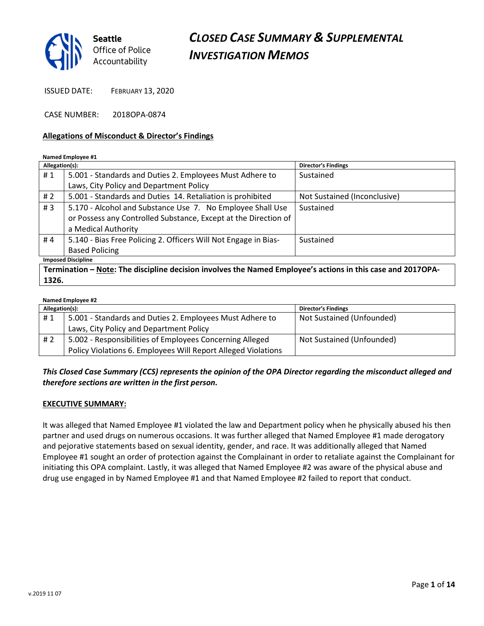

ISSUED DATE: FEBRUARY 13, 2020

CASE NUMBER: 2018OPA-0874

#### Allegations of Misconduct & Director's Findings

#### Named Employee #1

| Allegation(s):            |                                                                 | <b>Director's Findings</b>   |  |
|---------------------------|-----------------------------------------------------------------|------------------------------|--|
| #1                        | 5.001 - Standards and Duties 2. Employees Must Adhere to        | Sustained                    |  |
|                           | Laws, City Policy and Department Policy                         |                              |  |
| #2                        | 5.001 - Standards and Duties 14. Retaliation is prohibited      | Not Sustained (Inconclusive) |  |
| #3                        | 5.170 - Alcohol and Substance Use 7. No Employee Shall Use      | Sustained                    |  |
|                           | or Possess any Controlled Substance, Except at the Direction of |                              |  |
|                           | a Medical Authority                                             |                              |  |
| #4                        | 5.140 - Bias Free Policing 2. Officers Will Not Engage in Bias- | Sustained                    |  |
|                           | <b>Based Policing</b>                                           |                              |  |
| <b>Imposed Discipline</b> |                                                                 |                              |  |

Termination – Note: The discipline decision involves the Named Employee's actions in this case and 2017OPA-1326.

| Named Employee #2 |                                                               |                            |  |
|-------------------|---------------------------------------------------------------|----------------------------|--|
| Allegation(s):    |                                                               | <b>Director's Findings</b> |  |
| #1                | 5.001 - Standards and Duties 2. Employees Must Adhere to      | Not Sustained (Unfounded)  |  |
|                   | Laws, City Policy and Department Policy                       |                            |  |
| # 2               | 5.002 - Responsibilities of Employees Concerning Alleged      | Not Sustained (Unfounded)  |  |
|                   | Policy Violations 6. Employees Will Report Alleged Violations |                            |  |

### This Closed Case Summary (CCS) represents the opinion of the OPA Director regarding the misconduct alleged and therefore sections are written in the first person.

#### EXECUTIVE SUMMARY:

It was alleged that Named Employee #1 violated the law and Department policy when he physically abused his then partner and used drugs on numerous occasions. It was further alleged that Named Employee #1 made derogatory and pejorative statements based on sexual identity, gender, and race. It was additionally alleged that Named Employee #1 sought an order of protection against the Complainant in order to retaliate against the Complainant for initiating this OPA complaint. Lastly, it was alleged that Named Employee #2 was aware of the physical abuse and drug use engaged in by Named Employee #1 and that Named Employee #2 failed to report that conduct.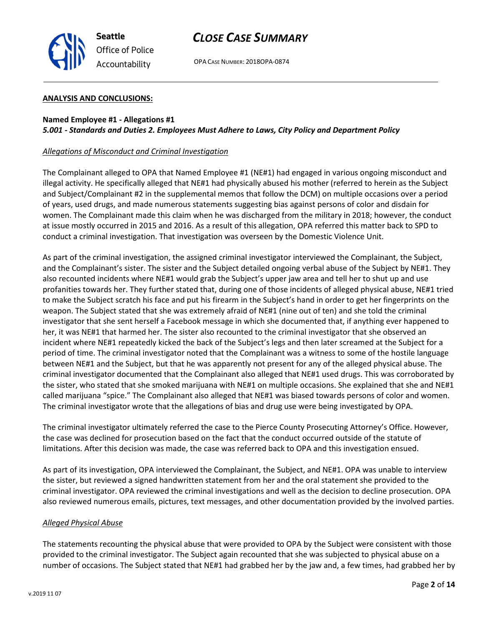

OPA CASE NUMBER: 2018OPA-0874

#### ANALYSIS AND CONCLUSIONS:

#### Named Employee #1 - Allegations #1 5.001 - Standards and Duties 2. Employees Must Adhere to Laws, City Policy and Department Policy

#### Allegations of Misconduct and Criminal Investigation

The Complainant alleged to OPA that Named Employee #1 (NE#1) had engaged in various ongoing misconduct and illegal activity. He specifically alleged that NE#1 had physically abused his mother (referred to herein as the Subject and Subject/Complainant #2 in the supplemental memos that follow the DCM) on multiple occasions over a period of years, used drugs, and made numerous statements suggesting bias against persons of color and disdain for women. The Complainant made this claim when he was discharged from the military in 2018; however, the conduct at issue mostly occurred in 2015 and 2016. As a result of this allegation, OPA referred this matter back to SPD to conduct a criminal investigation. That investigation was overseen by the Domestic Violence Unit.

As part of the criminal investigation, the assigned criminal investigator interviewed the Complainant, the Subject, and the Complainant's sister. The sister and the Subject detailed ongoing verbal abuse of the Subject by NE#1. They also recounted incidents where NE#1 would grab the Subject's upper jaw area and tell her to shut up and use profanities towards her. They further stated that, during one of those incidents of alleged physical abuse, NE#1 tried to make the Subject scratch his face and put his firearm in the Subject's hand in order to get her fingerprints on the weapon. The Subject stated that she was extremely afraid of NE#1 (nine out of ten) and she told the criminal investigator that she sent herself a Facebook message in which she documented that, if anything ever happened to her, it was NE#1 that harmed her. The sister also recounted to the criminal investigator that she observed an incident where NE#1 repeatedly kicked the back of the Subject's legs and then later screamed at the Subject for a period of time. The criminal investigator noted that the Complainant was a witness to some of the hostile language between NE#1 and the Subject, but that he was apparently not present for any of the alleged physical abuse. The criminal investigator documented that the Complainant also alleged that NE#1 used drugs. This was corroborated by the sister, who stated that she smoked marijuana with NE#1 on multiple occasions. She explained that she and NE#1 called marijuana "spice." The Complainant also alleged that NE#1 was biased towards persons of color and women. The criminal investigator wrote that the allegations of bias and drug use were being investigated by OPA.

The criminal investigator ultimately referred the case to the Pierce County Prosecuting Attorney's Office. However, the case was declined for prosecution based on the fact that the conduct occurred outside of the statute of limitations. After this decision was made, the case was referred back to OPA and this investigation ensued.

As part of its investigation, OPA interviewed the Complainant, the Subject, and NE#1. OPA was unable to interview the sister, but reviewed a signed handwritten statement from her and the oral statement she provided to the criminal investigator. OPA reviewed the criminal investigations and well as the decision to decline prosecution. OPA also reviewed numerous emails, pictures, text messages, and other documentation provided by the involved parties.

#### Alleged Physical Abuse

The statements recounting the physical abuse that were provided to OPA by the Subject were consistent with those provided to the criminal investigator. The Subject again recounted that she was subjected to physical abuse on a number of occasions. The Subject stated that NE#1 had grabbed her by the jaw and, a few times, had grabbed her by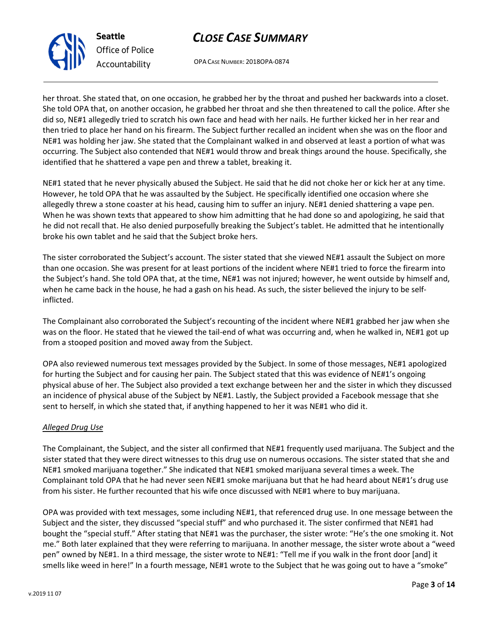OPA CASE NUMBER: 2018OPA-0874

her throat. She stated that, on one occasion, he grabbed her by the throat and pushed her backwards into a closet. She told OPA that, on another occasion, he grabbed her throat and she then threatened to call the police. After she did so, NE#1 allegedly tried to scratch his own face and head with her nails. He further kicked her in her rear and then tried to place her hand on his firearm. The Subject further recalled an incident when she was on the floor and NE#1 was holding her jaw. She stated that the Complainant walked in and observed at least a portion of what was occurring. The Subject also contended that NE#1 would throw and break things around the house. Specifically, she identified that he shattered a vape pen and threw a tablet, breaking it.

NE#1 stated that he never physically abused the Subject. He said that he did not choke her or kick her at any time. However, he told OPA that he was assaulted by the Subject. He specifically identified one occasion where she allegedly threw a stone coaster at his head, causing him to suffer an injury. NE#1 denied shattering a vape pen. When he was shown texts that appeared to show him admitting that he had done so and apologizing, he said that he did not recall that. He also denied purposefully breaking the Subject's tablet. He admitted that he intentionally broke his own tablet and he said that the Subject broke hers.

The sister corroborated the Subject's account. The sister stated that she viewed NE#1 assault the Subject on more than one occasion. She was present for at least portions of the incident where NE#1 tried to force the firearm into the Subject's hand. She told OPA that, at the time, NE#1 was not injured; however, he went outside by himself and, when he came back in the house, he had a gash on his head. As such, the sister believed the injury to be selfinflicted.

The Complainant also corroborated the Subject's recounting of the incident where NE#1 grabbed her jaw when she was on the floor. He stated that he viewed the tail-end of what was occurring and, when he walked in, NE#1 got up from a stooped position and moved away from the Subject.

OPA also reviewed numerous text messages provided by the Subject. In some of those messages, NE#1 apologized for hurting the Subject and for causing her pain. The Subject stated that this was evidence of NE#1's ongoing physical abuse of her. The Subject also provided a text exchange between her and the sister in which they discussed an incidence of physical abuse of the Subject by NE#1. Lastly, the Subject provided a Facebook message that she sent to herself, in which she stated that, if anything happened to her it was NE#1 who did it.

### Alleged Drug Use

The Complainant, the Subject, and the sister all confirmed that NE#1 frequently used marijuana. The Subject and the sister stated that they were direct witnesses to this drug use on numerous occasions. The sister stated that she and NE#1 smoked marijuana together." She indicated that NE#1 smoked marijuana several times a week. The Complainant told OPA that he had never seen NE#1 smoke marijuana but that he had heard about NE#1's drug use from his sister. He further recounted that his wife once discussed with NE#1 where to buy marijuana.

OPA was provided with text messages, some including NE#1, that referenced drug use. In one message between the Subject and the sister, they discussed "special stuff" and who purchased it. The sister confirmed that NE#1 had bought the "special stuff." After stating that NE#1 was the purchaser, the sister wrote: "He's the one smoking it. Not me." Both later explained that they were referring to marijuana. In another message, the sister wrote about a "weed pen" owned by NE#1. In a third message, the sister wrote to NE#1: "Tell me if you walk in the front door [and] it smells like weed in here!" In a fourth message, NE#1 wrote to the Subject that he was going out to have a "smoke"



Seattle

Office of Police Accountability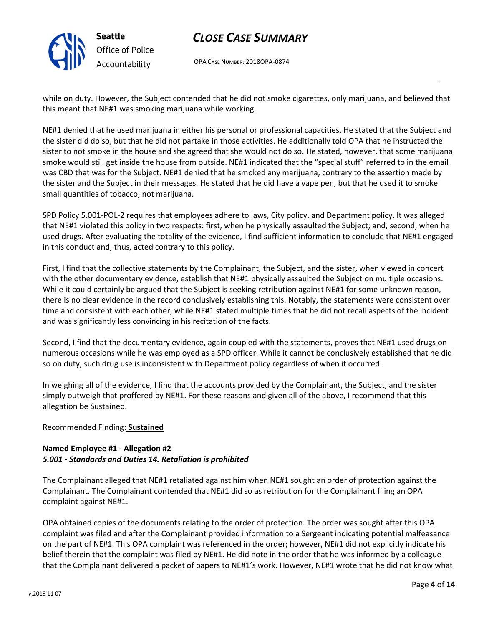

# CLOSE CASE SUMMARY

OPA CASE NUMBER: 2018OPA-0874

while on duty. However, the Subject contended that he did not smoke cigarettes, only marijuana, and believed that this meant that NE#1 was smoking marijuana while working.

NE#1 denied that he used marijuana in either his personal or professional capacities. He stated that the Subject and the sister did do so, but that he did not partake in those activities. He additionally told OPA that he instructed the sister to not smoke in the house and she agreed that she would not do so. He stated, however, that some marijuana smoke would still get inside the house from outside. NE#1 indicated that the "special stuff" referred to in the email was CBD that was for the Subject. NE#1 denied that he smoked any marijuana, contrary to the assertion made by the sister and the Subject in their messages. He stated that he did have a vape pen, but that he used it to smoke small quantities of tobacco, not marijuana.

SPD Policy 5.001-POL-2 requires that employees adhere to laws, City policy, and Department policy. It was alleged that NE#1 violated this policy in two respects: first, when he physically assaulted the Subject; and, second, when he used drugs. After evaluating the totality of the evidence, I find sufficient information to conclude that NE#1 engaged in this conduct and, thus, acted contrary to this policy.

First, I find that the collective statements by the Complainant, the Subject, and the sister, when viewed in concert with the other documentary evidence, establish that NE#1 physically assaulted the Subject on multiple occasions. While it could certainly be argued that the Subject is seeking retribution against NE#1 for some unknown reason, there is no clear evidence in the record conclusively establishing this. Notably, the statements were consistent over time and consistent with each other, while NE#1 stated multiple times that he did not recall aspects of the incident and was significantly less convincing in his recitation of the facts.

Second, I find that the documentary evidence, again coupled with the statements, proves that NE#1 used drugs on numerous occasions while he was employed as a SPD officer. While it cannot be conclusively established that he did so on duty, such drug use is inconsistent with Department policy regardless of when it occurred.

In weighing all of the evidence, I find that the accounts provided by the Complainant, the Subject, and the sister simply outweigh that proffered by NE#1. For these reasons and given all of the above, I recommend that this allegation be Sustained.

### Recommended Finding: Sustained

#### Named Employee #1 - Allegation #2 5.001 - Standards and Duties 14. Retaliation is prohibited

The Complainant alleged that NE#1 retaliated against him when NE#1 sought an order of protection against the Complainant. The Complainant contended that NE#1 did so as retribution for the Complainant filing an OPA complaint against NE#1.

OPA obtained copies of the documents relating to the order of protection. The order was sought after this OPA complaint was filed and after the Complainant provided information to a Sergeant indicating potential malfeasance on the part of NE#1. This OPA complaint was referenced in the order; however, NE#1 did not explicitly indicate his belief therein that the complaint was filed by NE#1. He did note in the order that he was informed by a colleague that the Complainant delivered a packet of papers to NE#1's work. However, NE#1 wrote that he did not know what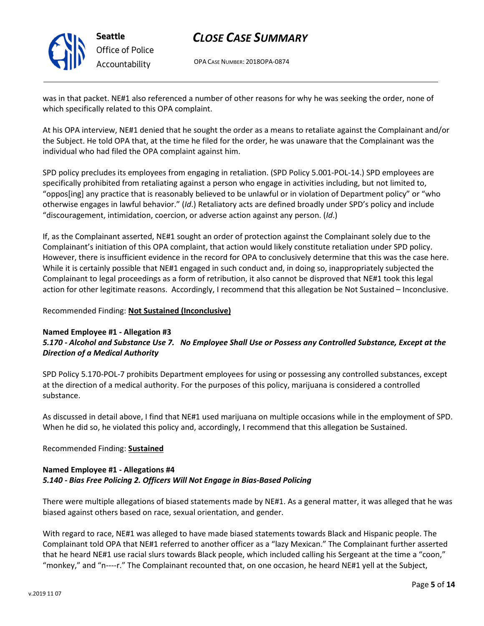

# CLOSE CASE SUMMARY

OPA CASE NUMBER: 2018OPA-0874

was in that packet. NE#1 also referenced a number of other reasons for why he was seeking the order, none of which specifically related to this OPA complaint.

At his OPA interview, NE#1 denied that he sought the order as a means to retaliate against the Complainant and/or the Subject. He told OPA that, at the time he filed for the order, he was unaware that the Complainant was the individual who had filed the OPA complaint against him.

SPD policy precludes its employees from engaging in retaliation. (SPD Policy 5.001-POL-14.) SPD employees are specifically prohibited from retaliating against a person who engage in activities including, but not limited to, "oppos[ing] any practice that is reasonably believed to be unlawful or in violation of Department policy" or "who otherwise engages in lawful behavior." (Id.) Retaliatory acts are defined broadly under SPD's policy and include "discouragement, intimidation, coercion, or adverse action against any person.  $(id.)$ 

If, as the Complainant asserted, NE#1 sought an order of protection against the Complainant solely due to the Complainant's initiation of this OPA complaint, that action would likely constitute retaliation under SPD policy. However, there is insufficient evidence in the record for OPA to conclusively determine that this was the case here. While it is certainly possible that NE#1 engaged in such conduct and, in doing so, inappropriately subjected the Complainant to legal proceedings as a form of retribution, it also cannot be disproved that NE#1 took this legal action for other legitimate reasons. Accordingly, I recommend that this allegation be Not Sustained – Inconclusive.

#### Recommended Finding: Not Sustained (Inconclusive)

#### Named Employee #1 - Allegation #3

### 5.170 - Alcohol and Substance Use 7. No Employee Shall Use or Possess any Controlled Substance, Except at the Direction of a Medical Authority

SPD Policy 5.170-POL-7 prohibits Department employees for using or possessing any controlled substances, except at the direction of a medical authority. For the purposes of this policy, marijuana is considered a controlled substance.

As discussed in detail above, I find that NE#1 used marijuana on multiple occasions while in the employment of SPD. When he did so, he violated this policy and, accordingly, I recommend that this allegation be Sustained.

### Recommended Finding: Sustained

### Named Employee #1 - Allegations #4 5.140 - Bias Free Policing 2. Officers Will Not Engage in Bias-Based Policing

There were multiple allegations of biased statements made by NE#1. As a general matter, it was alleged that he was biased against others based on race, sexual orientation, and gender.

With regard to race, NE#1 was alleged to have made biased statements towards Black and Hispanic people. The Complainant told OPA that NE#1 referred to another officer as a "lazy Mexican." The Complainant further asserted that he heard NE#1 use racial slurs towards Black people, which included calling his Sergeant at the time a "coon," "monkey," and "n----r." The Complainant recounted that, on one occasion, he heard NE#1 yell at the Subject,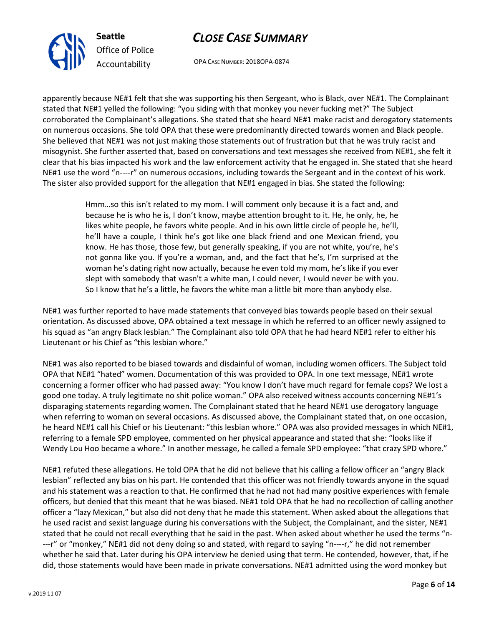

OPA CASE NUMBER: 2018OPA-0874

apparently because NE#1 felt that she was supporting his then Sergeant, who is Black, over NE#1. The Complainant stated that NE#1 yelled the following: "you siding with that monkey you never fucking met?" The Subject corroborated the Complainant's allegations. She stated that she heard NE#1 make racist and derogatory statements on numerous occasions. She told OPA that these were predominantly directed towards women and Black people. She believed that NE#1 was not just making those statements out of frustration but that he was truly racist and misogynist. She further asserted that, based on conversations and text messages she received from NE#1, she felt it clear that his bias impacted his work and the law enforcement activity that he engaged in. She stated that she heard NE#1 use the word "n----r" on numerous occasions, including towards the Sergeant and in the context of his work. The sister also provided support for the allegation that NE#1 engaged in bias. She stated the following:

> Hmm…so this isn't related to my mom. I will comment only because it is a fact and, and because he is who he is, I don't know, maybe attention brought to it. He, he only, he, he likes white people, he favors white people. And in his own little circle of people he, he'll, he'll have a couple, I think he's got like one black friend and one Mexican friend, you know. He has those, those few, but generally speaking, if you are not white, you're, he's not gonna like you. If you're a woman, and, and the fact that he's, I'm surprised at the woman he's dating right now actually, because he even told my mom, he's like if you ever slept with somebody that wasn't a white man, I could never, I would never be with you. So I know that he's a little, he favors the white man a little bit more than anybody else.

NE#1 was further reported to have made statements that conveyed bias towards people based on their sexual orientation. As discussed above, OPA obtained a text message in which he referred to an officer newly assigned to his squad as "an angry Black lesbian." The Complainant also told OPA that he had heard NE#1 refer to either his Lieutenant or his Chief as "this lesbian whore."

NE#1 was also reported to be biased towards and disdainful of woman, including women officers. The Subject told OPA that NE#1 "hated" women. Documentation of this was provided to OPA. In one text message, NE#1 wrote concerning a former officer who had passed away: "You know I don't have much regard for female cops? We lost a good one today. A truly legitimate no shit police woman." OPA also received witness accounts concerning NE#1's disparaging statements regarding women. The Complainant stated that he heard NE#1 use derogatory language when referring to woman on several occasions. As discussed above, the Complainant stated that, on one occasion, he heard NE#1 call his Chief or his Lieutenant: "this lesbian whore." OPA was also provided messages in which NE#1, referring to a female SPD employee, commented on her physical appearance and stated that she: "looks like if Wendy Lou Hoo became a whore." In another message, he called a female SPD employee: "that crazy SPD whore."

NE#1 refuted these allegations. He told OPA that he did not believe that his calling a fellow officer an "angry Black lesbian" reflected any bias on his part. He contended that this officer was not friendly towards anyone in the squad and his statement was a reaction to that. He confirmed that he had not had many positive experiences with female officers, but denied that this meant that he was biased. NE#1 told OPA that he had no recollection of calling another officer a "lazy Mexican," but also did not deny that he made this statement. When asked about the allegations that he used racist and sexist language during his conversations with the Subject, the Complainant, and the sister, NE#1 stated that he could not recall everything that he said in the past. When asked about whether he used the terms "n- ---r" or "monkey," NE#1 did not deny doing so and stated, with regard to saying "n----r," he did not remember whether he said that. Later during his OPA interview he denied using that term. He contended, however, that, if he did, those statements would have been made in private conversations. NE#1 admitted using the word monkey but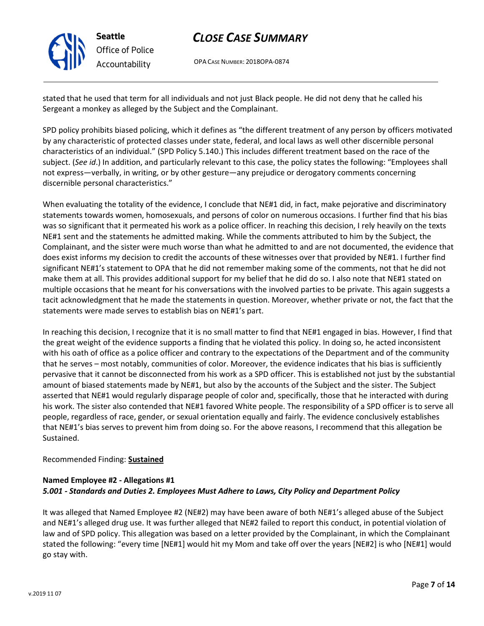

# CLOSE CASE SUMMARY

OPA CASE NUMBER: 2018OPA-0874

stated that he used that term for all individuals and not just Black people. He did not deny that he called his Sergeant a monkey as alleged by the Subject and the Complainant.

SPD policy prohibits biased policing, which it defines as "the different treatment of any person by officers motivated by any characteristic of protected classes under state, federal, and local laws as well other discernible personal characteristics of an individual." (SPD Policy 5.140.) This includes different treatment based on the race of the subject. (See id.) In addition, and particularly relevant to this case, the policy states the following: "Employees shall not express—verbally, in writing, or by other gesture—any prejudice or derogatory comments concerning discernible personal characteristics."

When evaluating the totality of the evidence, I conclude that NE#1 did, in fact, make pejorative and discriminatory statements towards women, homosexuals, and persons of color on numerous occasions. I further find that his bias was so significant that it permeated his work as a police officer. In reaching this decision, I rely heavily on the texts NE#1 sent and the statements he admitted making. While the comments attributed to him by the Subject, the Complainant, and the sister were much worse than what he admitted to and are not documented, the evidence that does exist informs my decision to credit the accounts of these witnesses over that provided by NE#1. I further find significant NE#1's statement to OPA that he did not remember making some of the comments, not that he did not make them at all. This provides additional support for my belief that he did do so. I also note that NE#1 stated on multiple occasions that he meant for his conversations with the involved parties to be private. This again suggests a tacit acknowledgment that he made the statements in question. Moreover, whether private or not, the fact that the statements were made serves to establish bias on NE#1's part.

In reaching this decision, I recognize that it is no small matter to find that NE#1 engaged in bias. However, I find that the great weight of the evidence supports a finding that he violated this policy. In doing so, he acted inconsistent with his oath of office as a police officer and contrary to the expectations of the Department and of the community that he serves – most notably, communities of color. Moreover, the evidence indicates that his bias is sufficiently pervasive that it cannot be disconnected from his work as a SPD officer. This is established not just by the substantial amount of biased statements made by NE#1, but also by the accounts of the Subject and the sister. The Subject asserted that NE#1 would regularly disparage people of color and, specifically, those that he interacted with during his work. The sister also contended that NE#1 favored White people. The responsibility of a SPD officer is to serve all people, regardless of race, gender, or sexual orientation equally and fairly. The evidence conclusively establishes that NE#1's bias serves to prevent him from doing so. For the above reasons, I recommend that this allegation be Sustained.

### Recommended Finding: Sustained

### Named Employee #2 - Allegations #1 5.001 - Standards and Duties 2. Employees Must Adhere to Laws, City Policy and Department Policy

It was alleged that Named Employee #2 (NE#2) may have been aware of both NE#1's alleged abuse of the Subject and NE#1's alleged drug use. It was further alleged that NE#2 failed to report this conduct, in potential violation of law and of SPD policy. This allegation was based on a letter provided by the Complainant, in which the Complainant stated the following: "every time [NE#1] would hit my Mom and take off over the years [NE#2] is who [NE#1] would go stay with.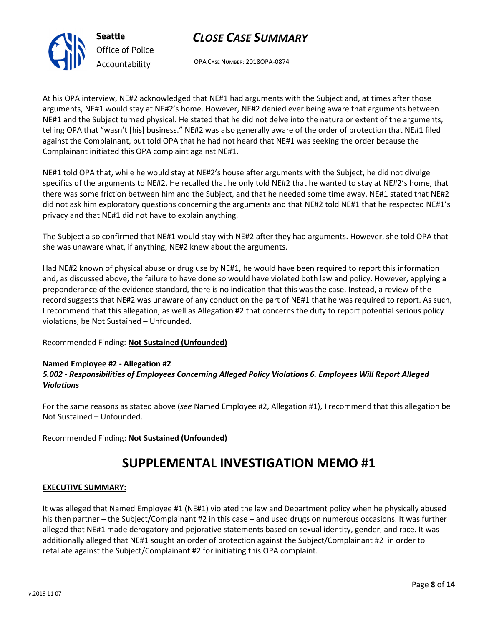v.2019 11 07

# CLOSE CASE SUMMARY

OPA CASE NUMBER: 2018OPA-0874

At his OPA interview, NE#2 acknowledged that NE#1 had arguments with the Subject and, at times after those arguments, NE#1 would stay at NE#2's home. However, NE#2 denied ever being aware that arguments between NE#1 and the Subject turned physical. He stated that he did not delve into the nature or extent of the arguments, telling OPA that "wasn't [his] business." NE#2 was also generally aware of the order of protection that NE#1 filed against the Complainant, but told OPA that he had not heard that NE#1 was seeking the order because the Complainant initiated this OPA complaint against NE#1.

NE#1 told OPA that, while he would stay at NE#2's house after arguments with the Subject, he did not divulge specifics of the arguments to NE#2. He recalled that he only told NE#2 that he wanted to stay at NE#2's home, that there was some friction between him and the Subject, and that he needed some time away. NE#1 stated that NE#2 did not ask him exploratory questions concerning the arguments and that NE#2 told NE#1 that he respected NE#1's privacy and that NE#1 did not have to explain anything.

The Subject also confirmed that NE#1 would stay with NE#2 after they had arguments. However, she told OPA that she was unaware what, if anything, NE#2 knew about the arguments.

Had NE#2 known of physical abuse or drug use by NE#1, he would have been required to report this information and, as discussed above, the failure to have done so would have violated both law and policy. However, applying a preponderance of the evidence standard, there is no indication that this was the case. Instead, a review of the record suggests that NE#2 was unaware of any conduct on the part of NE#1 that he was required to report. As such, I recommend that this allegation, as well as Allegation #2 that concerns the duty to report potential serious policy violations, be Not Sustained – Unfounded.

### Recommended Finding: Not Sustained (Unfounded)

### Named Employee #2 - Allegation #2

### 5.002 - Responsibilities of Employees Concerning Alleged Policy Violations 6. Employees Will Report Alleged Violations

For the same reasons as stated above (see Named Employee #2, Allegation #1), I recommend that this allegation be Not Sustained – Unfounded.

Recommended Finding: Not Sustained (Unfounded)

# SUPPLEMENTAL INVESTIGATION MEMO #1

#### EXECUTIVE SUMMARY:

It was alleged that Named Employee #1 (NE#1) violated the law and Department policy when he physically abused his then partner – the Subject/Complainant #2 in this case – and used drugs on numerous occasions. It was further alleged that NE#1 made derogatory and pejorative statements based on sexual identity, gender, and race. It was additionally alleged that NE#1 sought an order of protection against the Subject/Complainant #2 in order to retaliate against the Subject/Complainant #2 for initiating this OPA complaint.



Seattle

Office of Police Accountability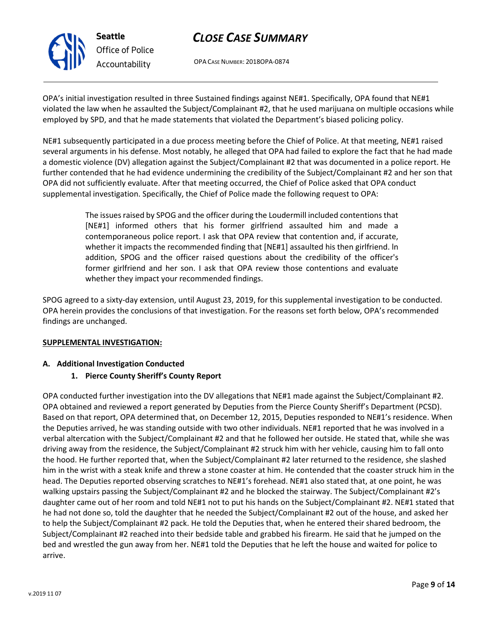

# CLOSE CASE SUMMARY

OPA CASE NUMBER: 2018OPA-0874

OPA's initial investigation resulted in three Sustained findings against NE#1. Specifically, OPA found that NE#1 violated the law when he assaulted the Subject/Complainant #2, that he used marijuana on multiple occasions while employed by SPD, and that he made statements that violated the Department's biased policing policy.

NE#1 subsequently participated in a due process meeting before the Chief of Police. At that meeting, NE#1 raised several arguments in his defense. Most notably, he alleged that OPA had failed to explore the fact that he had made a domestic violence (DV) allegation against the Subject/Complainant #2 that was documented in a police report. He further contended that he had evidence undermining the credibility of the Subject/Complainant #2 and her son that OPA did not sufficiently evaluate. After that meeting occurred, the Chief of Police asked that OPA conduct supplemental investigation. Specifically, the Chief of Police made the following request to OPA:

> The issues raised by SPOG and the officer during the Loudermill included contentions that [NE#1] informed others that his former girlfriend assaulted him and made a contemporaneous police report. I ask that OPA review that contention and, if accurate, whether it impacts the recommended finding that [NE#1] assaulted his then girlfriend. In addition, SPOG and the officer raised questions about the credibility of the officer's former girlfriend and her son. I ask that OPA review those contentions and evaluate whether they impact your recommended findings.

SPOG agreed to a sixty-day extension, until August 23, 2019, for this supplemental investigation to be conducted. OPA herein provides the conclusions of that investigation. For the reasons set forth below, OPA's recommended findings are unchanged.

### SUPPLEMENTAL INVESTIGATION:

### A. Additional Investigation Conducted

## 1. Pierce County Sheriff's County Report

OPA conducted further investigation into the DV allegations that NE#1 made against the Subject/Complainant #2. OPA obtained and reviewed a report generated by Deputies from the Pierce County Sheriff's Department (PCSD). Based on that report, OPA determined that, on December 12, 2015, Deputies responded to NE#1's residence. When the Deputies arrived, he was standing outside with two other individuals. NE#1 reported that he was involved in a verbal altercation with the Subject/Complainant #2 and that he followed her outside. He stated that, while she was driving away from the residence, the Subject/Complainant #2 struck him with her vehicle, causing him to fall onto the hood. He further reported that, when the Subject/Complainant #2 later returned to the residence, she slashed him in the wrist with a steak knife and threw a stone coaster at him. He contended that the coaster struck him in the head. The Deputies reported observing scratches to NE#1's forehead. NE#1 also stated that, at one point, he was walking upstairs passing the Subject/Complainant #2 and he blocked the stairway. The Subject/Complainant #2's daughter came out of her room and told NE#1 not to put his hands on the Subject/Complainant #2. NE#1 stated that he had not done so, told the daughter that he needed the Subject/Complainant #2 out of the house, and asked her to help the Subject/Complainant #2 pack. He told the Deputies that, when he entered their shared bedroom, the Subject/Complainant #2 reached into their bedside table and grabbed his firearm. He said that he jumped on the bed and wrestled the gun away from her. NE#1 told the Deputies that he left the house and waited for police to arrive.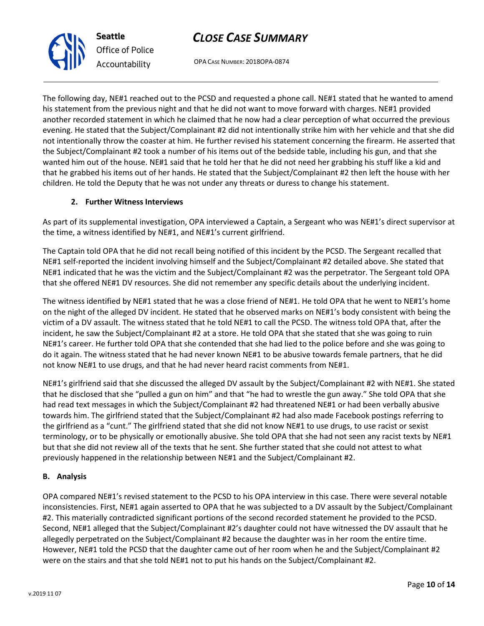OPA CASE NUMBER: 2018OPA-0874

The following day, NE#1 reached out to the PCSD and requested a phone call. NE#1 stated that he wanted to amend his statement from the previous night and that he did not want to move forward with charges. NE#1 provided another recorded statement in which he claimed that he now had a clear perception of what occurred the previous evening. He stated that the Subject/Complainant #2 did not intentionally strike him with her vehicle and that she did not intentionally throw the coaster at him. He further revised his statement concerning the firearm. He asserted that the Subject/Complainant #2 took a number of his items out of the bedside table, including his gun, and that she wanted him out of the house. NE#1 said that he told her that he did not need her grabbing his stuff like a kid and that he grabbed his items out of her hands. He stated that the Subject/Complainant #2 then left the house with her children. He told the Deputy that he was not under any threats or duress to change his statement.

### 2. Further Witness Interviews

As part of its supplemental investigation, OPA interviewed a Captain, a Sergeant who was NE#1's direct supervisor at the time, a witness identified by NE#1, and NE#1's current girlfriend.

The Captain told OPA that he did not recall being notified of this incident by the PCSD. The Sergeant recalled that NE#1 self-reported the incident involving himself and the Subject/Complainant #2 detailed above. She stated that NE#1 indicated that he was the victim and the Subject/Complainant #2 was the perpetrator. The Sergeant told OPA that she offered NE#1 DV resources. She did not remember any specific details about the underlying incident.

The witness identified by NE#1 stated that he was a close friend of NE#1. He told OPA that he went to NE#1's home on the night of the alleged DV incident. He stated that he observed marks on NE#1's body consistent with being the victim of a DV assault. The witness stated that he told NE#1 to call the PCSD. The witness told OPA that, after the incident, he saw the Subject/Complainant #2 at a store. He told OPA that she stated that she was going to ruin NE#1's career. He further told OPA that she contended that she had lied to the police before and she was going to do it again. The witness stated that he had never known NE#1 to be abusive towards female partners, that he did not know NE#1 to use drugs, and that he had never heard racist comments from NE#1.

NE#1's girlfriend said that she discussed the alleged DV assault by the Subject/Complainant #2 with NE#1. She stated that he disclosed that she "pulled a gun on him" and that "he had to wrestle the gun away." She told OPA that she had read text messages in which the Subject/Complainant #2 had threatened NE#1 or had been verbally abusive towards him. The girlfriend stated that the Subject/Complainant #2 had also made Facebook postings referring to the girlfriend as a "cunt." The girlfriend stated that she did not know NE#1 to use drugs, to use racist or sexist terminology, or to be physically or emotionally abusive. She told OPA that she had not seen any racist texts by NE#1 but that she did not review all of the texts that he sent. She further stated that she could not attest to what previously happened in the relationship between NE#1 and the Subject/Complainant #2.

## B. Analysis

OPA compared NE#1's revised statement to the PCSD to his OPA interview in this case. There were several notable inconsistencies. First, NE#1 again asserted to OPA that he was subjected to a DV assault by the Subject/Complainant #2. This materially contradicted significant portions of the second recorded statement he provided to the PCSD. Second, NE#1 alleged that the Subject/Complainant #2's daughter could not have witnessed the DV assault that he allegedly perpetrated on the Subject/Complainant #2 because the daughter was in her room the entire time. However, NE#1 told the PCSD that the daughter came out of her room when he and the Subject/Complainant #2 were on the stairs and that she told NE#1 not to put his hands on the Subject/Complainant #2.



Seattle

Office of Police Accountability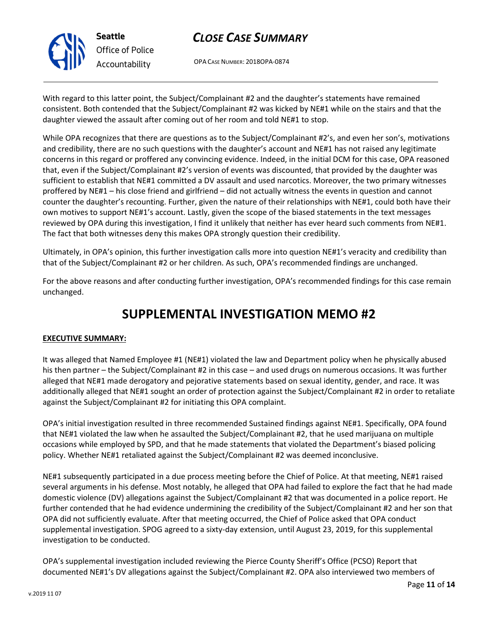

OPA CASE NUMBER: 2018OPA-0874

With regard to this latter point, the Subject/Complainant #2 and the daughter's statements have remained consistent. Both contended that the Subject/Complainant #2 was kicked by NE#1 while on the stairs and that the daughter viewed the assault after coming out of her room and told NE#1 to stop.

While OPA recognizes that there are questions as to the Subject/Complainant #2's, and even her son's, motivations and credibility, there are no such questions with the daughter's account and NE#1 has not raised any legitimate concerns in this regard or proffered any convincing evidence. Indeed, in the initial DCM for this case, OPA reasoned that, even if the Subject/Complainant #2's version of events was discounted, that provided by the daughter was sufficient to establish that NE#1 committed a DV assault and used narcotics. Moreover, the two primary witnesses proffered by NE#1 – his close friend and girlfriend – did not actually witness the events in question and cannot counter the daughter's recounting. Further, given the nature of their relationships with NE#1, could both have their own motives to support NE#1's account. Lastly, given the scope of the biased statements in the text messages reviewed by OPA during this investigation, I find it unlikely that neither has ever heard such comments from NE#1. The fact that both witnesses deny this makes OPA strongly question their credibility.

Ultimately, in OPA's opinion, this further investigation calls more into question NE#1's veracity and credibility than that of the Subject/Complainant #2 or her children. As such, OPA's recommended findings are unchanged.

For the above reasons and after conducting further investigation, OPA's recommended findings for this case remain unchanged.

# SUPPLEMENTAL INVESTIGATION MEMO #2

### EXECUTIVE SUMMARY:

It was alleged that Named Employee #1 (NE#1) violated the law and Department policy when he physically abused his then partner – the Subject/Complainant #2 in this case – and used drugs on numerous occasions. It was further alleged that NE#1 made derogatory and pejorative statements based on sexual identity, gender, and race. It was additionally alleged that NE#1 sought an order of protection against the Subject/Complainant #2 in order to retaliate against the Subject/Complainant #2 for initiating this OPA complaint.

OPA's initial investigation resulted in three recommended Sustained findings against NE#1. Specifically, OPA found that NE#1 violated the law when he assaulted the Subject/Complainant #2, that he used marijuana on multiple occasions while employed by SPD, and that he made statements that violated the Department's biased policing policy. Whether NE#1 retaliated against the Subject/Complainant #2 was deemed inconclusive.

NE#1 subsequently participated in a due process meeting before the Chief of Police. At that meeting, NE#1 raised several arguments in his defense. Most notably, he alleged that OPA had failed to explore the fact that he had made domestic violence (DV) allegations against the Subject/Complainant #2 that was documented in a police report. He further contended that he had evidence undermining the credibility of the Subject/Complainant #2 and her son that OPA did not sufficiently evaluate. After that meeting occurred, the Chief of Police asked that OPA conduct supplemental investigation. SPOG agreed to a sixty-day extension, until August 23, 2019, for this supplemental investigation to be conducted.

OPA's supplemental investigation included reviewing the Pierce County Sheriff's Office (PCSO) Report that documented NE#1's DV allegations against the Subject/Complainant #2. OPA also interviewed two members of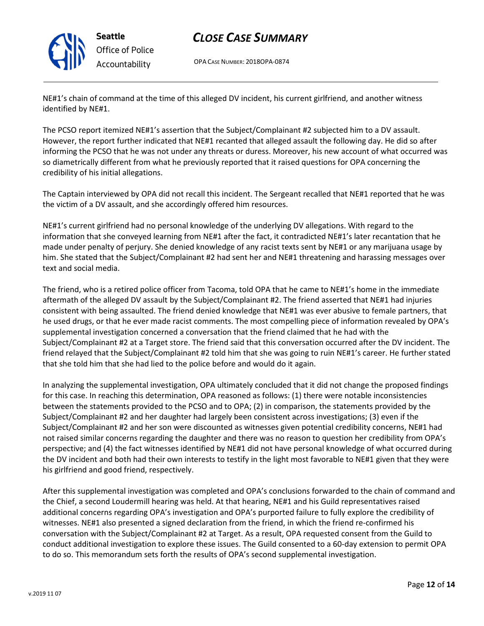

# CLOSE CASE SUMMARY

OPA CASE NUMBER: 2018OPA-0874

NE#1's chain of command at the time of this alleged DV incident, his current girlfriend, and another witness identified by NE#1.

The PCSO report itemized NE#1's assertion that the Subject/Complainant #2 subjected him to a DV assault. However, the report further indicated that NE#1 recanted that alleged assault the following day. He did so after informing the PCSO that he was not under any threats or duress. Moreover, his new account of what occurred was so diametrically different from what he previously reported that it raised questions for OPA concerning the credibility of his initial allegations.

The Captain interviewed by OPA did not recall this incident. The Sergeant recalled that NE#1 reported that he was the victim of a DV assault, and she accordingly offered him resources.

NE#1's current girlfriend had no personal knowledge of the underlying DV allegations. With regard to the information that she conveyed learning from NE#1 after the fact, it contradicted NE#1's later recantation that he made under penalty of perjury. She denied knowledge of any racist texts sent by NE#1 or any marijuana usage by him. She stated that the Subject/Complainant #2 had sent her and NE#1 threatening and harassing messages over text and social media.

The friend, who is a retired police officer from Tacoma, told OPA that he came to NE#1's home in the immediate aftermath of the alleged DV assault by the Subject/Complainant #2. The friend asserted that NE#1 had injuries consistent with being assaulted. The friend denied knowledge that NE#1 was ever abusive to female partners, that he used drugs, or that he ever made racist comments. The most compelling piece of information revealed by OPA's supplemental investigation concerned a conversation that the friend claimed that he had with the Subject/Complainant #2 at a Target store. The friend said that this conversation occurred after the DV incident. The friend relayed that the Subject/Complainant #2 told him that she was going to ruin NE#1's career. He further stated that she told him that she had lied to the police before and would do it again.

In analyzing the supplemental investigation, OPA ultimately concluded that it did not change the proposed findings for this case. In reaching this determination, OPA reasoned as follows: (1) there were notable inconsistencies between the statements provided to the PCSO and to OPA; (2) in comparison, the statements provided by the Subject/Complainant #2 and her daughter had largely been consistent across investigations; (3) even if the Subject/Complainant #2 and her son were discounted as witnesses given potential credibility concerns, NE#1 had not raised similar concerns regarding the daughter and there was no reason to question her credibility from OPA's perspective; and (4) the fact witnesses identified by NE#1 did not have personal knowledge of what occurred during the DV incident and both had their own interests to testify in the light most favorable to NE#1 given that they were his girlfriend and good friend, respectively.

After this supplemental investigation was completed and OPA's conclusions forwarded to the chain of command and the Chief, a second Loudermill hearing was held. At that hearing, NE#1 and his Guild representatives raised additional concerns regarding OPA's investigation and OPA's purported failure to fully explore the credibility of witnesses. NE#1 also presented a signed declaration from the friend, in which the friend re-confirmed his conversation with the Subject/Complainant #2 at Target. As a result, OPA requested consent from the Guild to conduct additional investigation to explore these issues. The Guild consented to a 60-day extension to permit OPA to do so. This memorandum sets forth the results of OPA's second supplemental investigation.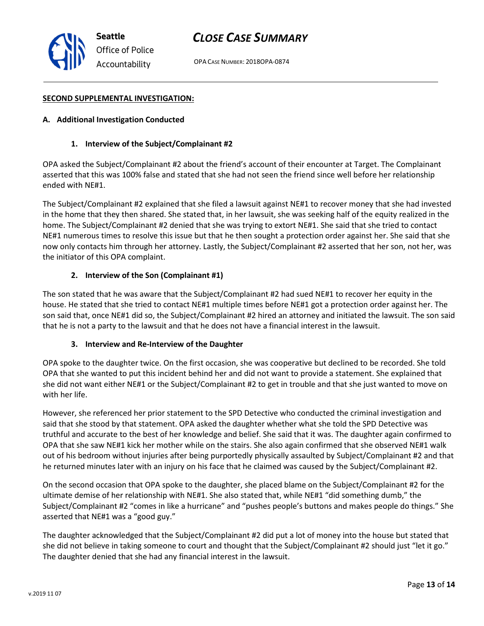OPA CASE NUMBER: 2018OPA-0874

#### SECOND SUPPLEMENTAL INVESTIGATION:

#### A. Additional Investigation Conducted

#### 1. Interview of the Subject/Complainant #2

OPA asked the Subject/Complainant #2 about the friend's account of their encounter at Target. The Complainant asserted that this was 100% false and stated that she had not seen the friend since well before her relationship ended with NE#1.

The Subject/Complainant #2 explained that she filed a lawsuit against NE#1 to recover money that she had invested in the home that they then shared. She stated that, in her lawsuit, she was seeking half of the equity realized in the home. The Subject/Complainant #2 denied that she was trying to extort NE#1. She said that she tried to contact NE#1 numerous times to resolve this issue but that he then sought a protection order against her. She said that she now only contacts him through her attorney. Lastly, the Subject/Complainant #2 asserted that her son, not her, was the initiator of this OPA complaint.

#### 2. Interview of the Son (Complainant #1)

The son stated that he was aware that the Subject/Complainant #2 had sued NE#1 to recover her equity in the house. He stated that she tried to contact NE#1 multiple times before NE#1 got a protection order against her. The son said that, once NE#1 did so, the Subject/Complainant #2 hired an attorney and initiated the lawsuit. The son said that he is not a party to the lawsuit and that he does not have a financial interest in the lawsuit.

#### 3. Interview and Re-Interview of the Daughter

OPA spoke to the daughter twice. On the first occasion, she was cooperative but declined to be recorded. She told OPA that she wanted to put this incident behind her and did not want to provide a statement. She explained that she did not want either NE#1 or the Subject/Complainant #2 to get in trouble and that she just wanted to move on with her life.

However, she referenced her prior statement to the SPD Detective who conducted the criminal investigation and said that she stood by that statement. OPA asked the daughter whether what she told the SPD Detective was truthful and accurate to the best of her knowledge and belief. She said that it was. The daughter again confirmed to OPA that she saw NE#1 kick her mother while on the stairs. She also again confirmed that she observed NE#1 walk out of his bedroom without injuries after being purportedly physically assaulted by Subject/Complainant #2 and that he returned minutes later with an injury on his face that he claimed was caused by the Subject/Complainant #2.

On the second occasion that OPA spoke to the daughter, she placed blame on the Subject/Complainant #2 for the ultimate demise of her relationship with NE#1. She also stated that, while NE#1 "did something dumb," the Subject/Complainant #2 "comes in like a hurricane" and "pushes people's buttons and makes people do things." She asserted that NE#1 was a "good guy."

The daughter acknowledged that the Subject/Complainant #2 did put a lot of money into the house but stated that she did not believe in taking someone to court and thought that the Subject/Complainant #2 should just "let it go." The daughter denied that she had any financial interest in the lawsuit.